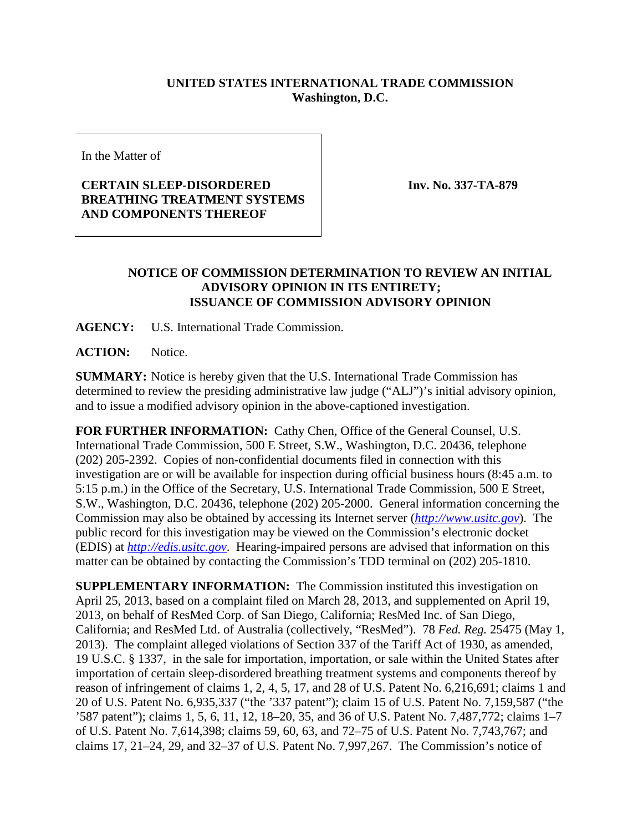## **UNITED STATES INTERNATIONAL TRADE COMMISSION Washington, D.C.**

In the Matter of

## **CERTAIN SLEEP-DISORDERED BREATHING TREATMENT SYSTEMS AND COMPONENTS THEREOF**

**Inv. No. 337-TA-879**

## **NOTICE OF COMMISSION DETERMINATION TO REVIEW AN INITIAL ADVISORY OPINION IN ITS ENTIRETY; ISSUANCE OF COMMISSION ADVISORY OPINION**

**AGENCY:** U.S. International Trade Commission.

**ACTION:** Notice.

**SUMMARY:** Notice is hereby given that the U.S. International Trade Commission has determined to review the presiding administrative law judge ("ALJ")'s initial advisory opinion, and to issue a modified advisory opinion in the above-captioned investigation.

**FOR FURTHER INFORMATION:** Cathy Chen, Office of the General Counsel, U.S. International Trade Commission, 500 E Street, S.W., Washington, D.C. 20436, telephone (202) 205-2392. Copies of non-confidential documents filed in connection with this investigation are or will be available for inspection during official business hours (8:45 a.m. to 5:15 p.m.) in the Office of the Secretary, U.S. International Trade Commission, 500 E Street, S.W., Washington, D.C. 20436, telephone (202) 205-2000. General information concerning the Commission may also be obtained by accessing its Internet server (*[http://www.usitc.gov](http://www.usitc.gov/)*). The public record for this investigation may be viewed on the Commission's electronic docket (EDIS) at *[http://edis.usitc.gov](http://edis.usitc.gov/)*. Hearing-impaired persons are advised that information on this matter can be obtained by contacting the Commission's TDD terminal on (202) 205-1810.

**SUPPLEMENTARY INFORMATION:** The Commission instituted this investigation on April 25, 2013, based on a complaint filed on March 28, 2013, and supplemented on April 19, 2013, on behalf of ResMed Corp. of San Diego, California; ResMed Inc. of San Diego, California; and ResMed Ltd. of Australia (collectively, "ResMed"). 78 *Fed. Reg.* 25475 (May 1, 2013). The complaint alleged violations of Section 337 of the Tariff Act of 1930, as amended, 19 U.S.C. § 1337, in the sale for importation, importation, or sale within the United States after importation of certain sleep-disordered breathing treatment systems and components thereof by reason of infringement of claims 1, 2, 4, 5, 17, and 28 of U.S. Patent No. 6,216,691; claims 1 and 20 of U.S. Patent No. 6,935,337 ("the '337 patent"); claim 15 of U.S. Patent No. 7,159,587 ("the '587 patent"); claims 1, 5, 6, 11, 12, 18–20, 35, and 36 of U.S. Patent No. 7,487,772; claims 1–7 of U.S. Patent No. 7,614,398; claims 59, 60, 63, and 72–75 of U.S. Patent No. 7,743,767; and claims 17, 21–24, 29, and 32–37 of U.S. Patent No. 7,997,267. The Commission's notice of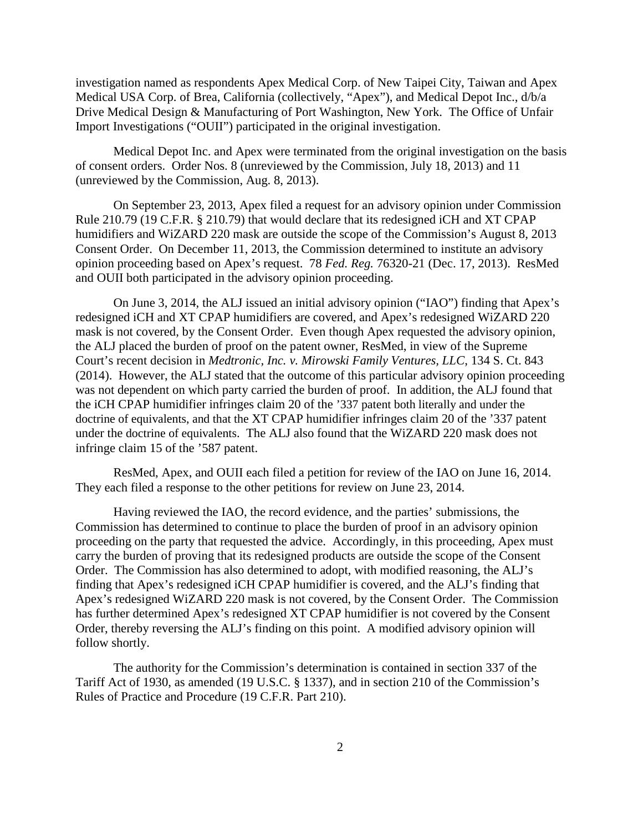investigation named as respondents Apex Medical Corp. of New Taipei City, Taiwan and Apex Medical USA Corp. of Brea, California (collectively, "Apex"), and Medical Depot Inc., d/b/a Drive Medical Design & Manufacturing of Port Washington, New York. The Office of Unfair Import Investigations ("OUII") participated in the original investigation.

Medical Depot Inc. and Apex were terminated from the original investigation on the basis of consent orders. Order Nos. 8 (unreviewed by the Commission, July 18, 2013) and 11 (unreviewed by the Commission, Aug. 8, 2013).

On September 23, 2013, Apex filed a request for an advisory opinion under Commission Rule 210.79 (19 C.F.R. § 210.79) that would declare that its redesigned iCH and XT CPAP humidifiers and WiZARD 220 mask are outside the scope of the Commission's August 8, 2013 Consent Order. On December 11, 2013, the Commission determined to institute an advisory opinion proceeding based on Apex's request. 78 *Fed. Reg.* 76320-21 (Dec. 17, 2013). ResMed and OUII both participated in the advisory opinion proceeding.

On June 3, 2014, the ALJ issued an initial advisory opinion ("IAO") finding that Apex's redesigned iCH and XT CPAP humidifiers are covered, and Apex's redesigned WiZARD 220 mask is not covered, by the Consent Order. Even though Apex requested the advisory opinion, the ALJ placed the burden of proof on the patent owner, ResMed, in view of the Supreme Court's recent decision in *Medtronic, Inc. v. Mirowski Family Ventures, LLC*, 134 S. Ct. 843 (2014). However, the ALJ stated that the outcome of this particular advisory opinion proceeding was not dependent on which party carried the burden of proof. In addition, the ALJ found that the iCH CPAP humidifier infringes claim 20 of the '337 patent both literally and under the doctrine of equivalents, and that the XT CPAP humidifier infringes claim 20 of the '337 patent under the doctrine of equivalents. The ALJ also found that the WiZARD 220 mask does not infringe claim 15 of the '587 patent.

ResMed, Apex, and OUII each filed a petition for review of the IAO on June 16, 2014. They each filed a response to the other petitions for review on June 23, 2014.

Having reviewed the IAO, the record evidence, and the parties' submissions, the Commission has determined to continue to place the burden of proof in an advisory opinion proceeding on the party that requested the advice. Accordingly, in this proceeding, Apex must carry the burden of proving that its redesigned products are outside the scope of the Consent Order. The Commission has also determined to adopt, with modified reasoning, the ALJ's finding that Apex's redesigned iCH CPAP humidifier is covered, and the ALJ's finding that Apex's redesigned WiZARD 220 mask is not covered, by the Consent Order. The Commission has further determined Apex's redesigned XT CPAP humidifier is not covered by the Consent Order, thereby reversing the ALJ's finding on this point. A modified advisory opinion will follow shortly.

The authority for the Commission's determination is contained in section 337 of the Tariff Act of 1930, as amended (19 U.S.C. § 1337), and in section 210 of the Commission's Rules of Practice and Procedure (19 C.F.R. Part 210).